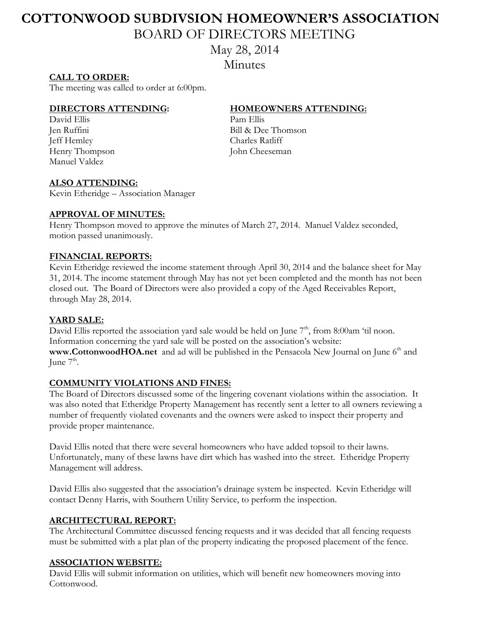# **COTTONWOOD SUBDIVSION HOMEOWNER'S ASSOCIATION**  BOARD OF DIRECTORS MEETING

May 28, 2014

**Minutes** 

## **CALL TO ORDER:**

The meeting was called to order at 6:00pm.

David Ellis Pam Ellis Jeff Hemley Charles Ratliff Henry Thompson John Cheeseman Manuel Valdez

### **DIRECTORS ATTENDING: HOMEOWNERS ATTENDING:**

Jen Ruffini Bill & Dee Thomson

#### **ALSO ATTENDING:**

Kevin Etheridge – Association Manager

### **APPROVAL OF MINUTES:**

Henry Thompson moved to approve the minutes of March 27, 2014. Manuel Valdez seconded, motion passed unanimously.

### **FINANCIAL REPORTS:**

Kevin Etheridge reviewed the income statement through April 30, 2014 and the balance sheet for May 31, 2014. The income statement through May has not yet been completed and the month has not been closed out. The Board of Directors were also provided a copy of the Aged Receivables Report, through May 28, 2014.

# **YARD SALE:**

David Ellis reported the association yard sale would be held on June  $7<sup>th</sup>$ , from 8:00am 'til noon. Information concerning the yard sale will be posted on the association's website: **[www.CottonwoodHOA.net](http://www.cottonwoodhoa.net/)** and ad will be published in the Pensacola New Journal on June 6<sup>th</sup> and June  $7^{\text{th}}$ .

#### **COMMUNITY VIOLATIONS AND FINES:**

The Board of Directors discussed some of the lingering covenant violations within the association. It was also noted that Etheridge Property Management has recently sent a letter to all owners reviewing a number of frequently violated covenants and the owners were asked to inspect their property and provide proper maintenance.

David Ellis noted that there were several homeowners who have added topsoil to their lawns. Unfortunately, many of these lawns have dirt which has washed into the street. Etheridge Property Management will address.

David Ellis also suggested that the association's drainage system be inspected. Kevin Etheridge will contact Denny Harris, with Southern Utility Service, to perform the inspection.

#### **ARCHITECTURAL REPORT:**

The Architectural Committee discussed fencing requests and it was decided that all fencing requests must be submitted with a plat plan of the property indicating the proposed placement of the fence.

#### **ASSOCIATION WEBSITE:**

David Ellis will submit information on utilities, which will benefit new homeowners moving into Cottonwood.